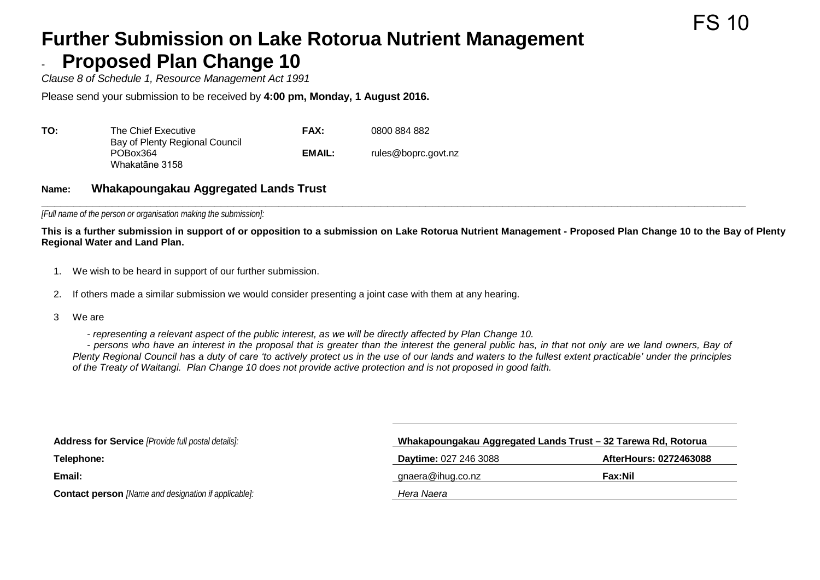## **Further Submission on Lake Rotorua Nutrient Management Proposed Plan Change 10**

*Clause 8 of Schedule 1, Resource Management Act 1991*

Please send your submission to be received by **4:00 pm, Monday, 1 August 2016.**

| TO: | The Chief Executive                                          | <b>FAX:</b> | 0800 884 882        |
|-----|--------------------------------------------------------------|-------------|---------------------|
|     | Bay of Plenty Regional Council<br>POBox364<br>Whakatāne 3158 | EMAIL:      | rules@boprc.govt.nz |

## **Name: Whakapoungakau Aggregated Lands Trust**

**\_\_\_\_\_\_\_\_\_\_\_\_\_\_\_\_\_\_\_\_\_\_\_\_\_\_\_\_\_\_\_\_\_\_\_\_\_\_\_\_\_\_\_\_\_\_\_\_\_\_\_\_\_\_\_\_\_\_\_\_\_\_\_\_\_\_\_\_\_\_\_\_\_\_\_\_\_\_\_\_\_\_\_\_\_\_\_\_\_\_\_\_\_\_\_\_\_\_\_\_\_\_\_\_\_\_\_\_\_\_** *[Full name of the person or organisation making the submission]:*

**This is a further submission in support of or opposition to a submission on Lake Rotorua Nutrient Management - Proposed Plan Change 10 to the Bay of Plenty Regional Water and Land Plan.**

- 1. We wish to be heard in support of our further submission.
- 2. If others made a similar submission we would consider presenting a joint case with them at any hearing.
- 3 We are
	- *representing a relevant aspect of the public interest, as we will be directly affected by Plan Change 10.*

- *persons who have an interest in the proposal that is greater than the interest the general public has, in that not only are we land owners, Bay of Plenty Regional Council has a duty of care 'to actively protect us in the use of our lands and waters to the fullest extent practicable' under the principles of the Treaty of Waitangi. Plan Change 10 does not provide active protection and is not proposed in good faith.*

| <b>Address for Service</b> [Provide full postal details]:   | Whakapoungakau Aggregated Lands Trust - 32 Tarewa Rd, Rotorua |                        |  |
|-------------------------------------------------------------|---------------------------------------------------------------|------------------------|--|
| Telephone:                                                  | <b>Daytime: 027 246 3088</b>                                  | AfterHours: 0272463088 |  |
| Email:                                                      | gnaera@ihug.co.nz                                             | Fax:Nil                |  |
| <b>Contact person</b> [Name and designation if applicable]: | Hera Naera                                                    |                        |  |